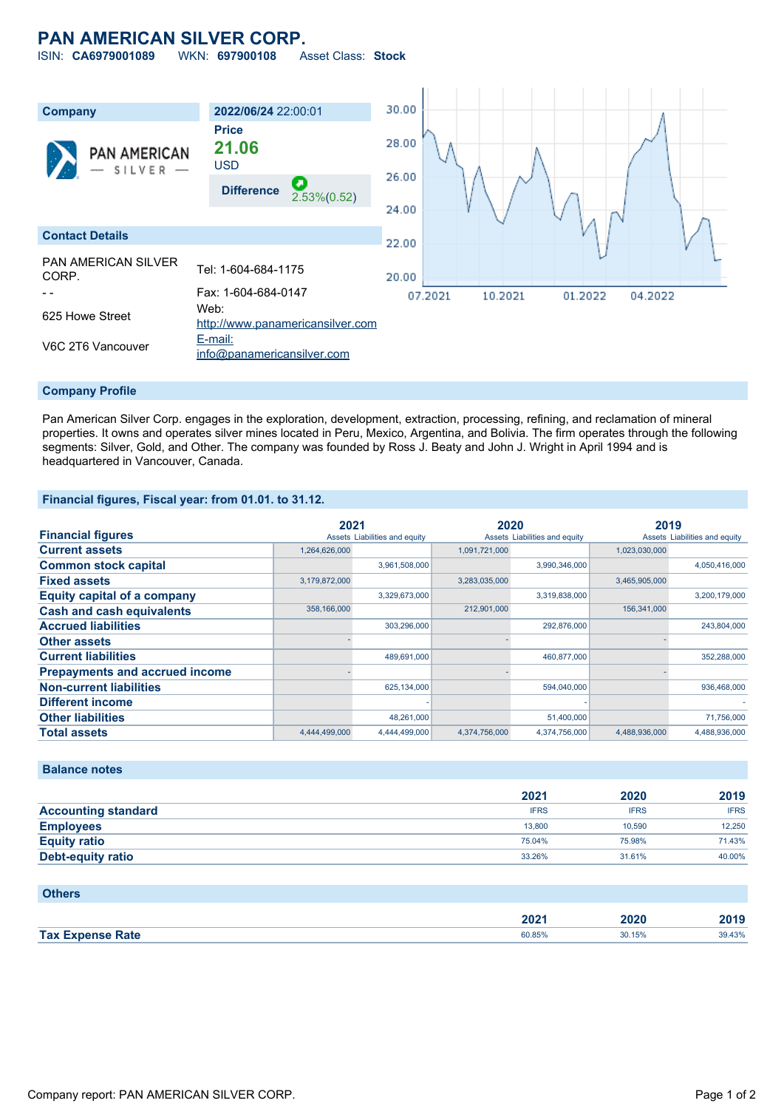# **PAN AMERICAN SILVER CORP.**

ISIN: **CA6979001089** WKN: **697900108** Asset Class: **Stock**



#### **Company Profile**

Pan American Silver Corp. engages in the exploration, development, extraction, processing, refining, and reclamation of mineral properties. It owns and operates silver mines located in Peru, Mexico, Argentina, and Bolivia. The firm operates through the following segments: Silver, Gold, and Other. The company was founded by Ross J. Beaty and John J. Wright in April 1994 and is headquartered in Vancouver, Canada.

### **Financial figures, Fiscal year: from 01.01. to 31.12.**

|                                       | 2021          |                               | 2020          |                               | 2019          |                               |
|---------------------------------------|---------------|-------------------------------|---------------|-------------------------------|---------------|-------------------------------|
| <b>Financial figures</b>              |               | Assets Liabilities and equity |               | Assets Liabilities and equity |               | Assets Liabilities and equity |
| <b>Current assets</b>                 | 1,264,626,000 |                               | 1,091,721,000 |                               | 1,023,030,000 |                               |
| <b>Common stock capital</b>           |               | 3,961,508,000                 |               | 3,990,346,000                 |               | 4,050,416,000                 |
| <b>Fixed assets</b>                   | 3,179,872,000 |                               | 3,283,035,000 |                               | 3,465,905,000 |                               |
| <b>Equity capital of a company</b>    |               | 3,329,673,000                 |               | 3,319,838,000                 |               | 3,200,179,000                 |
| <b>Cash and cash equivalents</b>      | 358,166,000   |                               | 212,901,000   |                               | 156,341,000   |                               |
| <b>Accrued liabilities</b>            |               | 303,296,000                   |               | 292,876,000                   |               | 243,804,000                   |
| <b>Other assets</b>                   |               |                               |               |                               |               |                               |
| <b>Current liabilities</b>            |               | 489,691,000                   |               | 460,877,000                   |               | 352,288,000                   |
| <b>Prepayments and accrued income</b> |               |                               |               |                               |               |                               |
| <b>Non-current liabilities</b>        |               | 625,134,000                   |               | 594,040,000                   |               | 936,468,000                   |
| <b>Different income</b>               |               |                               |               |                               |               |                               |
| <b>Other liabilities</b>              |               | 48,261,000                    |               | 51,400,000                    |               | 71,756,000                    |
| <b>Total assets</b>                   | 4.444.499.000 | 4.444.499.000                 | 4.374.756.000 | 4.374.756.000                 | 4.488.936.000 | 4.488.936.000                 |

### **Balance notes**

|                            | 2021        | 2020        | 2019        |
|----------------------------|-------------|-------------|-------------|
| <b>Accounting standard</b> | <b>IFRS</b> | <b>IFRS</b> | <b>IFRS</b> |
| <b>Employees</b>           | 13,800      | 10.590      | 12.250      |
| <b>Equity ratio</b>        | 75.04%      | 75.98%      | 71.43%      |
| <b>Debt-equity ratio</b>   | 33.26%      | 31.61%      | 40.00%      |

| <b>Others</b>           |        |        |        |
|-------------------------|--------|--------|--------|
|                         | 2021   | 2020   | 2019   |
| <b>Tax Expense Rate</b> | 60.85% | 30.15% | 39.43% |